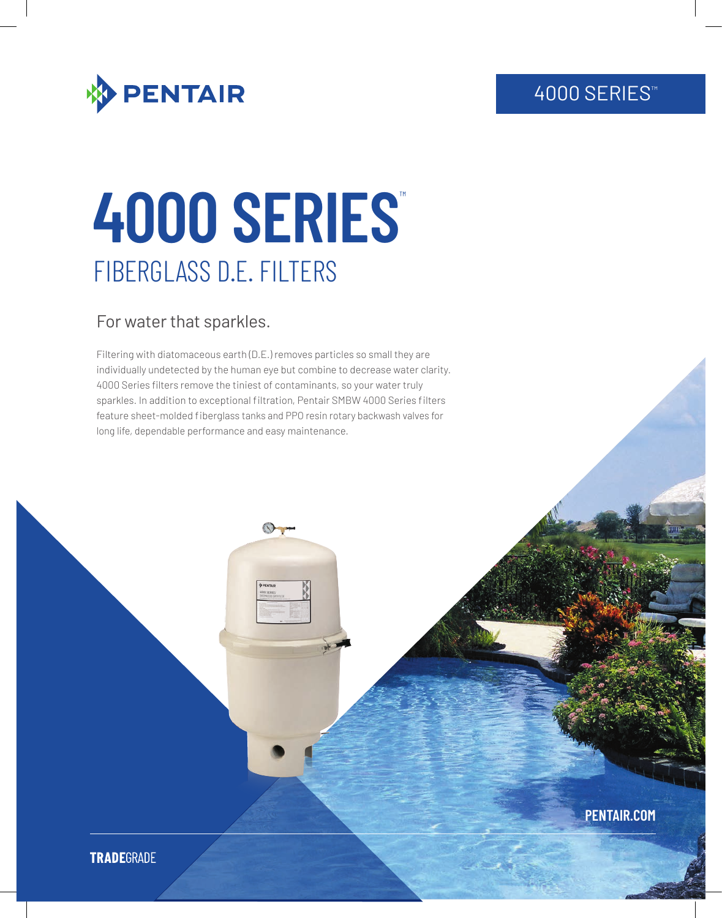## 4000 SERIES<sup>™</sup>



# **4000 SERIES**™ FIBERGLASS D.E. FILTERS

### For water that sparkles.

Filtering with diatomaceous earth (D.E.) removes particles so small they are individually undetected by the human eye but combine to decrease water clarity. 4000 Series filters remove the tiniest of contaminants, so your water truly sparkles. In addition to exceptional filtration, Pentair SMBW 4000 Series filters feature sheet-molded fiberglass tanks and PPO resin rotary backwash valves for long life, dependable performance and easy maintenance.

**PENTAIR.COM**